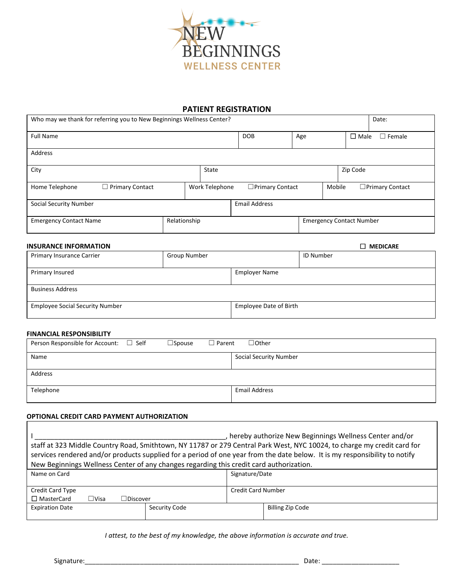

### **PATIENT REGISTRATION**

┑

| Who may we thank for referring you to New Beginnings Wellness Center? |                             |              |  |                | Date:                  |                  |                |                                 |                        |
|-----------------------------------------------------------------------|-----------------------------|--------------|--|----------------|------------------------|------------------|----------------|---------------------------------|------------------------|
| <b>Full Name</b>                                                      |                             |              |  | <b>DOB</b>     | Age                    |                  | $\square$ Male | $\Box$ Female                   |                        |
| Address                                                               |                             |              |  |                |                        |                  |                |                                 |                        |
| City                                                                  |                             |              |  | State          |                        |                  |                | Zip Code                        |                        |
| Home Telephone                                                        | <b>Primary Contact</b><br>⊔ |              |  | Work Telephone | $\Box$ Primary Contact |                  | Mobile         |                                 | $\Box$ Primary Contact |
| Social Security Number                                                |                             |              |  |                | <b>Email Address</b>   |                  |                |                                 |                        |
| <b>Emergency Contact Name</b>                                         |                             | Relationship |  |                |                        |                  |                | <b>Emergency Contact Number</b> |                        |
| <b>INSURANCE INFORMATION</b>                                          |                             |              |  |                |                        |                  |                | П                               | <b>MEDICARE</b>        |
| Group Number<br>Primary Insurance Carrier                             |                             |              |  |                |                        | <b>ID Number</b> |                |                                 |                        |
| Primary Insured                                                       |                             |              |  |                | <b>Employer Name</b>   |                  |                |                                 |                        |
| <b>Business Address</b>                                               |                             |              |  |                |                        |                  |                |                                 |                        |

| <b>Employee Social Security Number</b> | Employee Date of Birth |
|----------------------------------------|------------------------|

#### **FINANCIAL RESPONSIBILITY**

| Person Responsible for Account: □ Self<br>$\square$ Spouse | $\Box$ Other<br>$\Box$ Parent |
|------------------------------------------------------------|-------------------------------|
| Name                                                       | <b>Social Security Number</b> |
| Address                                                    |                               |
| Telephone                                                  | <b>Email Address</b>          |

#### **OPTIONAL CREDIT CARD PAYMENT AUTHORIZATION**

| , hereby authorize New Beginnings Wellness Center and/or<br>staff at 323 Middle Country Road, Smithtown, NY 11787 or 279 Central Park West, NYC 10024, to charge my credit card for<br>services rendered and/or products supplied for a period of one year from the date below. It is my responsibility to notify<br>New Beginnings Wellness Center of any changes regarding this credit card authorization. |               |                           |                  |  |
|--------------------------------------------------------------------------------------------------------------------------------------------------------------------------------------------------------------------------------------------------------------------------------------------------------------------------------------------------------------------------------------------------------------|---------------|---------------------------|------------------|--|
|                                                                                                                                                                                                                                                                                                                                                                                                              |               |                           |                  |  |
| Name on Card                                                                                                                                                                                                                                                                                                                                                                                                 |               | Signature/Date            |                  |  |
| Credit Card Type                                                                                                                                                                                                                                                                                                                                                                                             |               | <b>Credit Card Number</b> |                  |  |
| $\Box$ MasterCard<br>$\Box$ Visa<br>$\Box$ Discover                                                                                                                                                                                                                                                                                                                                                          |               |                           |                  |  |
| <b>Expiration Date</b>                                                                                                                                                                                                                                                                                                                                                                                       | Security Code |                           | Billing Zip Code |  |

*I attest, to the best of my knowledge, the above information is accurate and true.*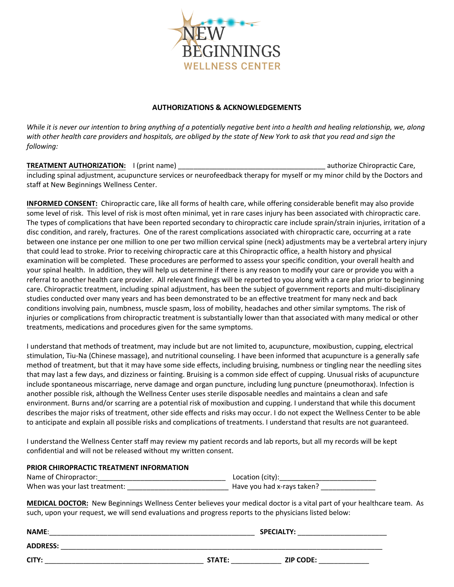

### **AUTHORIZATIONS & ACKNOWLEDGEMENTS**

*While it is never our intention to bring anything of a potentially negative bent into a health and healing relationship, we, along with other health care providers and hospitals, are obliged by the state of New York to ask that you read and sign the following:* 

**TREATMENT AUTHORIZATION:** I (print name) **authorize Chiropractic Care,** and the state of the state of the state of the state of the state of the state of the state of the state of the state of the state of the state of th including spinal adjustment, acupuncture services or neurofeedback therapy for myself or my minor child by the Doctors and staff at New Beginnings Wellness Center.

**INFORMED CONSENT:** Chiropractic care, like all forms of health care, while offering considerable benefit may also provide some level of risk. This level of risk is most often minimal, yet in rare cases injury has been associated with chiropractic care. The types of complications that have been reported secondary to chiropractic care include sprain/strain injuries, irritation of a disc condition, and rarely, fractures. One of the rarest complications associated with chiropractic care, occurring at a rate between one instance per one million to one per two million cervical spine (neck) adjustments may be a vertebral artery injury that could lead to stroke. Prior to receiving chiropractic care at this Chiropractic office, a health history and physical examination will be completed. These procedures are performed to assess your specific condition, your overall health and your spinal health. In addition, they will help us determine if there is any reason to modify your care or provide you with a referral to another health care provider. All relevant findings will be reported to you along with a care plan prior to beginning care. Chiropractic treatment, including spinal adjustment, has been the subject of government reports and multi-disciplinary studies conducted over many years and has been demonstrated to be an effective treatment for many neck and back conditions involving pain, numbness, muscle spasm, loss of mobility, headaches and other similar symptoms. The risk of injuries or complications from chiropractic treatment is substantially lower than that associated with many medical or other treatments, medications and procedures given for the same symptoms.

I understand that methods of treatment, may include but are not limited to, acupuncture, moxibustion, cupping, electrical stimulation, Tiu-Na (Chinese massage), and nutritional counseling. I have been informed that acupuncture is a generally safe method of treatment, but that it may have some side effects, including bruising, numbness or tingling near the needling sites that may last a few days, and dizziness or fainting. Bruising is a common side effect of cupping. Unusual risks of acupuncture include spontaneous miscarriage, nerve damage and organ puncture, including lung puncture (pneumothorax). Infection is another possible risk, although the Wellness Center uses sterile disposable needles and maintains a clean and safe environment. Burns and/or scarring are a potential risk of moxibustion and cupping. I understand that while this document describes the major risks of treatment, other side effects and risks may occur. I do not expect the Wellness Center to be able to anticipate and explain all possible risks and complications of treatments. I understand that results are not guaranteed.

I understand the Wellness Center staff may review my patient records and lab reports, but all my records will be kept confidential and will not be released without my written consent.

### **PRIOR CHIROPRACTIC TREATMENT INFORMATION**

| Name of Chiropractor:         | Location (city):           |
|-------------------------------|----------------------------|
| When was your last treatment: | Have you had x-rays taken? |

**MEDICAL DOCTOR:** New Beginnings Wellness Center believes your medical doctor is a vital part of your healthcare team. As such, upon your request, we will send evaluations and progress reports to the physicians listed below:

| <b>NAME:</b>    |        | <b>SPECIALTY:</b> |
|-----------------|--------|-------------------|
| <b>ADDRESS:</b> |        |                   |
| CITY:           | STATE: | <b>ZIP CODE:</b>  |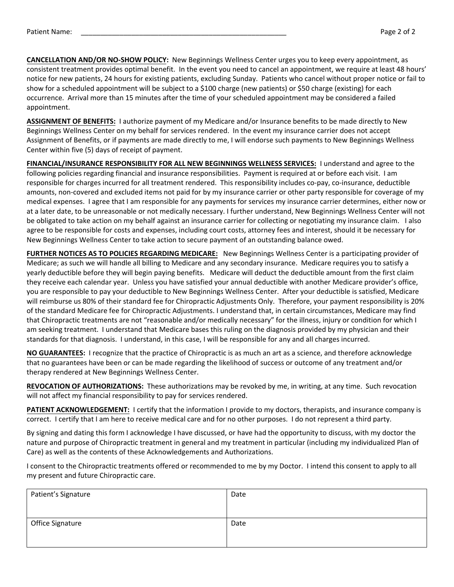**CANCELLATION AND/OR NO-SHOW POLICY:** New Beginnings Wellness Center urges you to keep every appointment, as consistent treatment provides optimal benefit. In the event you need to cancel an appointment, we require at least 48 hours' notice for new patients, 24 hours for existing patients, excluding Sunday. Patients who cancel without proper notice or fail to show for a scheduled appointment will be subject to a \$100 charge (new patients) or \$50 charge (existing) for each occurrence. Arrival more than 15 minutes after the time of your scheduled appointment may be considered a failed appointment.

**ASSIGNMENT OF BENEFITS:** I authorize payment of my Medicare and/or Insurance benefits to be made directly to New Beginnings Wellness Center on my behalf for services rendered. In the event my insurance carrier does not accept Assignment of Benefits, or if payments are made directly to me, I will endorse such payments to New Beginnings Wellness Center within five (5) days of receipt of payment.

**FINANCIAL/INSURANCE RESPONSIBILITY FOR ALL NEW BEGINNINGS WELLNESS SERVICES:** I understand and agree to the following policies regarding financial and insurance responsibilities. Payment is required at or before each visit. I am responsible for charges incurred for all treatment rendered. This responsibility includes co-pay, co-insurance, deductible amounts, non-covered and excluded items not paid for by my insurance carrier or other party responsible for coverage of my medical expenses. I agree that I am responsible for any payments for services my insurance carrier determines, either now or at a later date, to be unreasonable or not medically necessary. I further understand, New Beginnings Wellness Center will not be obligated to take action on my behalf against an insurance carrier for collecting or negotiating my insurance claim. I also agree to be responsible for costs and expenses, including court costs, attorney fees and interest, should it be necessary for New Beginnings Wellness Center to take action to secure payment of an outstanding balance owed.

**FURTHER NOTICES AS TO POLICIES REGARDING MEDICARE:** New Beginnings Wellness Center is a participating provider of Medicare; as such we will handle all billing to Medicare and any secondary insurance. Medicare requires you to satisfy a yearly deductible before they will begin paying benefits. Medicare will deduct the deductible amount from the first claim they receive each calendar year. Unless you have satisfied your annual deductible with another Medicare provider's office, you are responsible to pay your deductible to New Beginnings Wellness Center. After your deductible is satisfied, Medicare will reimburse us 80% of their standard fee for Chiropractic Adjustments Only. Therefore, your payment responsibility is 20% of the standard Medicare fee for Chiropractic Adjustments. I understand that, in certain circumstances, Medicare may find that Chiropractic treatments are not "reasonable and/or medically necessary" for the illness, injury or condition for which I am seeking treatment. I understand that Medicare bases this ruling on the diagnosis provided by my physician and their standards for that diagnosis. I understand, in this case, I will be responsible for any and all charges incurred.

**NO GUARANTEES:** I recognize that the practice of Chiropractic is as much an art as a science, and therefore acknowledge that no guarantees have been or can be made regarding the likelihood of success or outcome of any treatment and/or therapy rendered at New Beginnings Wellness Center.

**REVOCATION OF AUTHORIZATIONS:** These authorizations may be revoked by me, in writing, at any time. Such revocation will not affect my financial responsibility to pay for services rendered.

**PATIENT ACKNOWLEDGEMENT:** I certify that the information I provide to my doctors, therapists, and insurance company is correct. I certify that I am here to receive medical care and for no other purposes. I do not represent a third party.

By signing and dating this form I acknowledge I have discussed, or have had the opportunity to discuss, with my doctor the nature and purpose of Chiropractic treatment in general and my treatment in particular (including my individualized Plan of Care) as well as the contents of these Acknowledgements and Authorizations.

I consent to the Chiropractic treatments offered or recommended to me by my Doctor. I intend this consent to apply to all my present and future Chiropractic care.

| Patient's Signature | Date |
|---------------------|------|
| Office Signature    | Date |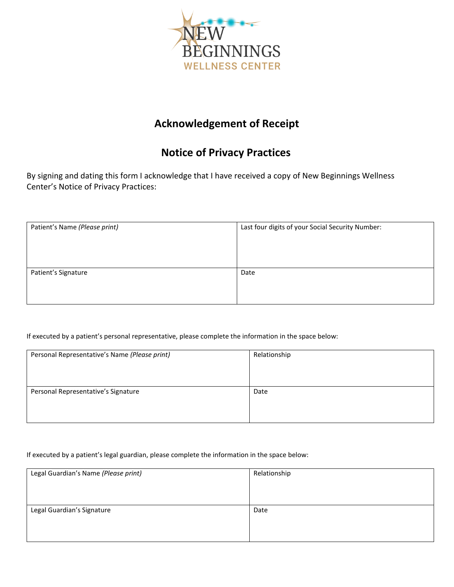

# **Acknowledgement of Receipt**

# **Notice of Privacy Practices**

By signing and dating this form I acknowledge that I have received a copy of New Beginnings Wellness Center's Notice of Privacy Practices:

| Patient's Name (Please print) | Last four digits of your Social Security Number: |
|-------------------------------|--------------------------------------------------|
| Patient's Signature           | Date                                             |

If executed by a patient's personal representative, please complete the information in the space below:

| Personal Representative's Name (Please print) | Relationship |
|-----------------------------------------------|--------------|
|                                               |              |
|                                               |              |
| Personal Representative's Signature           | Date         |
|                                               |              |
|                                               |              |
|                                               |              |

If executed by a patient's legal guardian, please complete the information in the space below:

| Legal Guardian's Name (Please print) | Relationship |
|--------------------------------------|--------------|
|                                      |              |
|                                      |              |
| Legal Guardian's Signature           | Date         |
|                                      |              |
|                                      |              |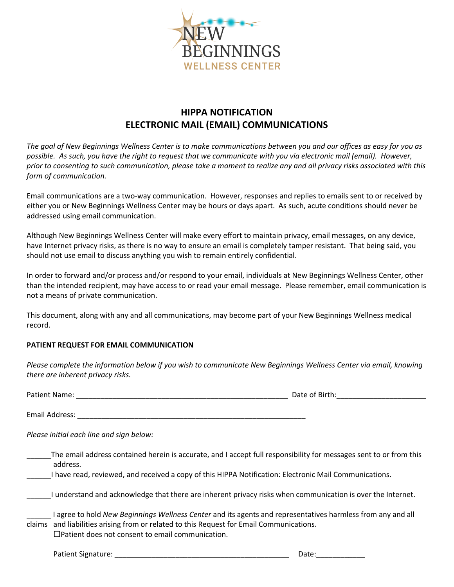

## **HIPPA NOTIFICATION ELECTRONIC MAIL (EMAIL) COMMUNICATIONS**

*The goal of New Beginnings Wellness Center is to make communications between you and our offices as easy for you as possible. As such, you have the right to request that we communicate with you via electronic mail (email). However, prior to consenting to such communication, please take a moment to realize any and all privacy risks associated with this form of communication.* 

Email communications are a two-way communication. However, responses and replies to emails sent to or received by either you or New Beginnings Wellness Center may be hours or days apart. As such, acute conditions should never be addressed using email communication.

Although New Beginnings Wellness Center will make every effort to maintain privacy, email messages, on any device, have Internet privacy risks, as there is no way to ensure an email is completely tamper resistant. That being said, you should not use email to discuss anything you wish to remain entirely confidential.

In order to forward and/or process and/or respond to your email, individuals at New Beginnings Wellness Center, other than the intended recipient, may have access to or read your email message. Please remember, email communication is not a means of private communication.

This document, along with any and all communications, may become part of your New Beginnings Wellness medical record.

### **PATIENT REQUEST FOR EMAIL COMMUNICATION**

*Please complete the information below if you wish to communicate New Beginnings Wellness Center via email, knowing there are inherent privacy risks.* 

| Pati.<br>Nar<br>une،<br>__________<br>________ | .<br><br>ור<br>______ |
|------------------------------------------------|-----------------------|
|                                                |                       |

Email Address: **Email Address:**  $\overline{a}$ 

*Please initial each line and sign below:* 

| The email address contained herein is accurate, and I accept full responsibility for messages sent to or from this |
|--------------------------------------------------------------------------------------------------------------------|
| address.                                                                                                           |

\_\_\_\_\_\_I have read, reviewed, and received a copy of this HIPPA Notification: Electronic Mail Communications.

\_\_\_\_\_\_I understand and acknowledge that there are inherent privacy risks when communication is over the Internet.

| I agree to hold New Beginnings Wellness Center and its agents and representatives harmless from any and all |
|-------------------------------------------------------------------------------------------------------------|
| claims and liabilities arising from or related to this Request for Email Communications.                    |
| $\Box$ Patient does not consent to email communication.                                                     |

Patient Signature: \_\_\_\_\_\_\_\_\_\_\_\_\_\_\_\_\_\_\_\_\_\_\_\_\_\_\_\_\_\_\_\_\_\_\_\_\_\_\_\_\_\_\_ Date:\_\_\_\_\_\_\_\_\_\_\_\_